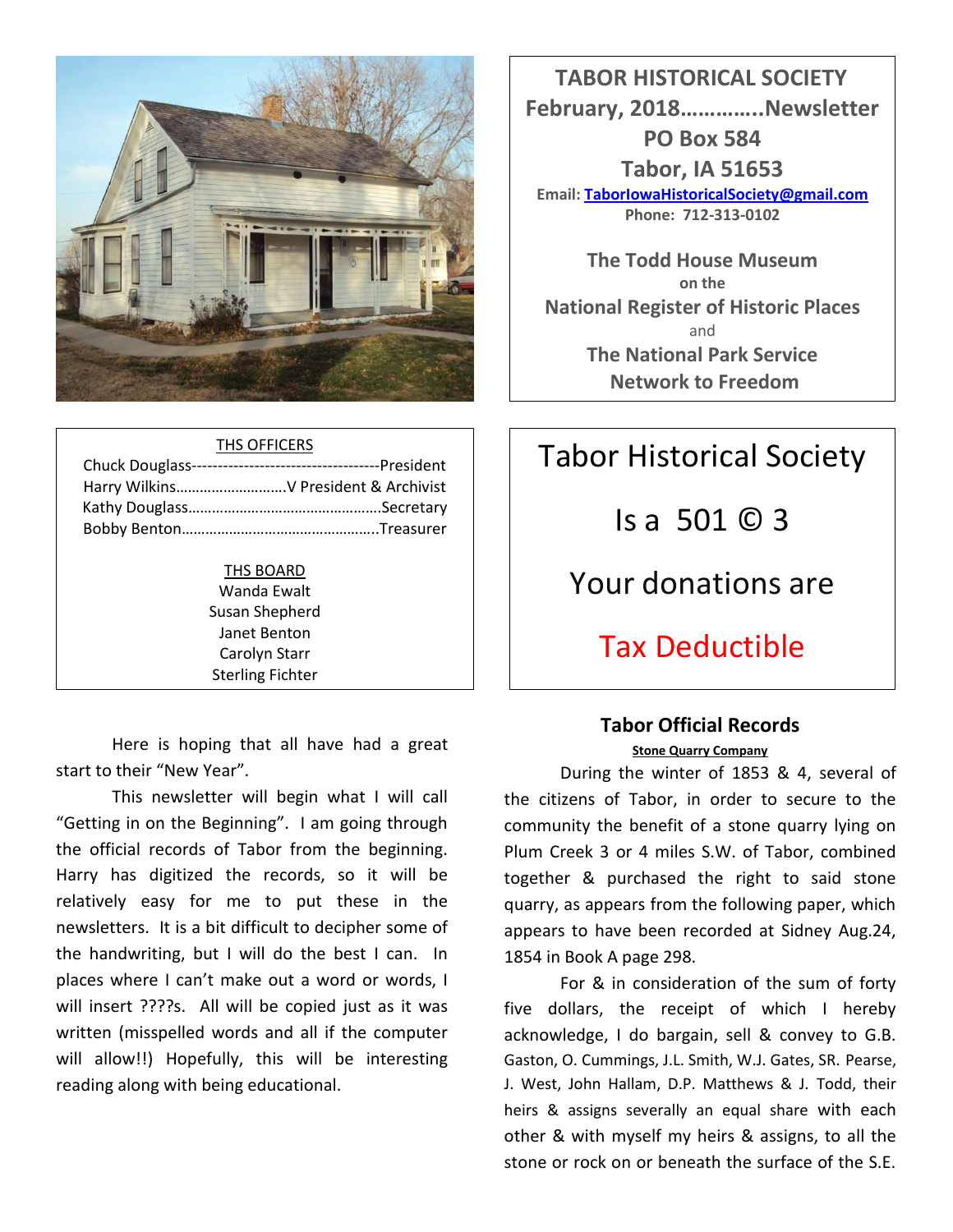

|  | THS OFFICERS |
|--|--------------|
|  |              |

THS BOARD Wanda Ewalt Susan Shepherd Janet Benton Carolyn Starr Sterling Fichter

Here is hoping that all have had a great start to their "New Year".

This newsletter will begin what I will call "Getting in on the Beginning". I am going through the official records of Tabor from the beginning. Harry has digitized the records, so it will be relatively easy for me to put these in the newsletters. It is a bit difficult to decipher some of the handwriting, but I will do the best I can. In places where I can't make out a word or words, I will insert ????s. All will be copied just as it was written (misspelled words and all if the computer will allow!!) Hopefully, this will be interesting reading along with being educational.

 **TABOR HISTORICAL SOCIETY February, 2018…………..Newsletter PO Box 584 Tabor, IA 51653 Email[: TaborIowaHistoricalSociety@gmail.com](mailto:TaborIowaHistoricalSociety@gmail.com) Phone: 712-313-0102**

**The Todd House Museum on the National Register of Historic Places** and **The National Park Service Network to Freedom**

# Tabor Historical Society Is a 501 © 3 Your donations are Tax Deductible

# **Tabor Official Records**

**Stone Quarry Company**

During the winter of 1853 & 4, several of the citizens of Tabor, in order to secure to the community the benefit of a stone quarry lying on Plum Creek 3 or 4 miles S.W. of Tabor, combined together & purchased the right to said stone quarry, as appears from the following paper, which appears to have been recorded at Sidney Aug.24, 1854 in Book A page 298.

For & in consideration of the sum of forty five dollars, the receipt of which I hereby acknowledge, I do bargain, sell & convey to G.B. Gaston, O. Cummings, J.L. Smith, W.J. Gates, SR. Pearse, J. West, John Hallam, D.P. Matthews & J. Todd, their heirs & assigns severally an equal share with each other & with myself my heirs & assigns, to all the stone or rock on or beneath the surface of the S.E.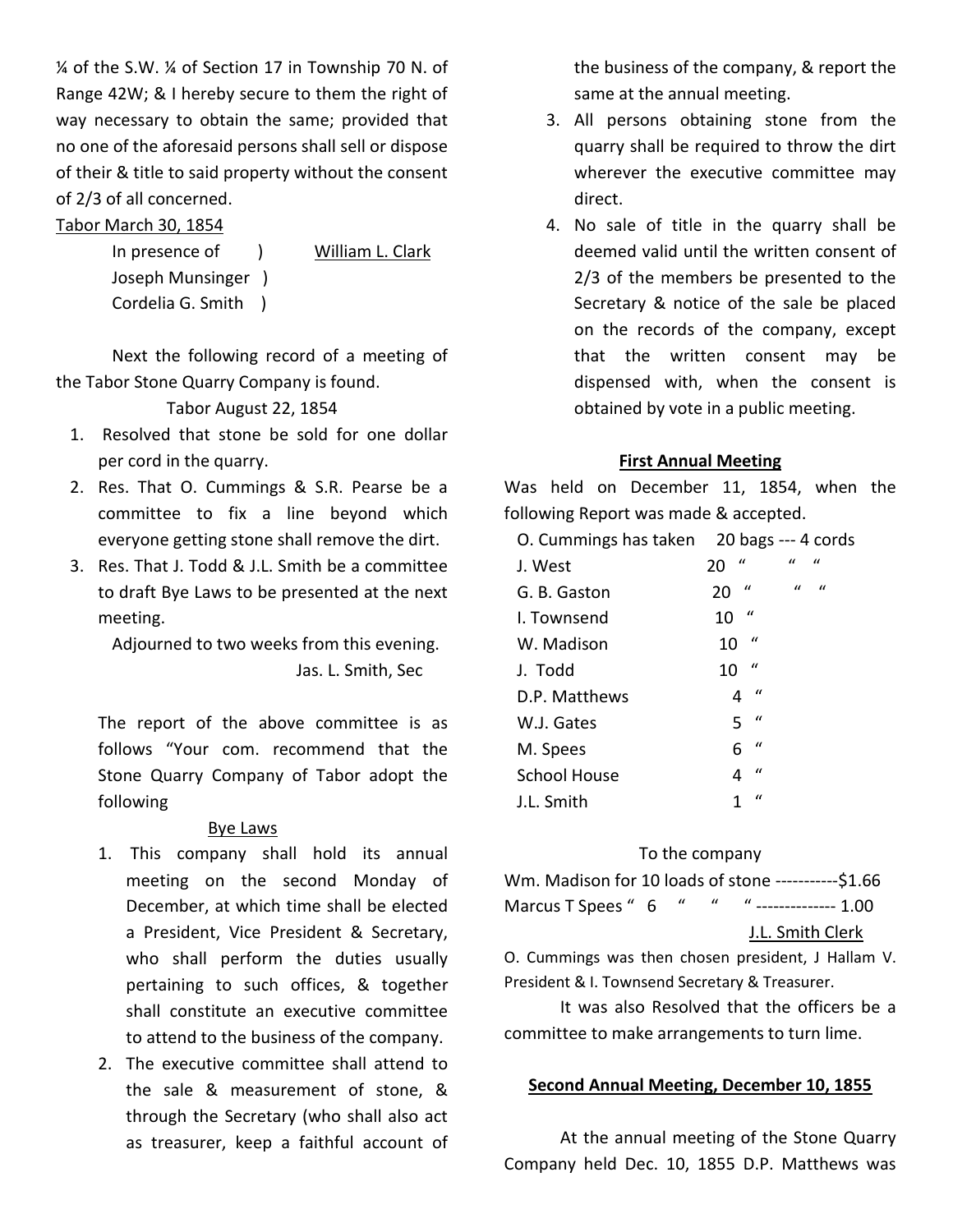¼ of the S.W. ¼ of Section 17 in Township 70 N. of Range 42W; & I hereby secure to them the right of way necessary to obtain the same; provided that no one of the aforesaid persons shall sell or dispose of their & title to said property without the consent of 2/3 of all concerned.

#### Tabor March 30, 1854

In presence of ) William L. Clark Joseph Munsinger ) Cordelia G. Smith )

Next the following record of a meeting of the Tabor Stone Quarry Company is found.

Tabor August 22, 1854

- 1. Resolved that stone be sold for one dollar per cord in the quarry.
- 2. Res. That O. Cummings & S.R. Pearse be a committee to fix a line beyond which everyone getting stone shall remove the dirt.
- 3. Res. That J. Todd & J.L. Smith be a committee to draft Bye Laws to be presented at the next meeting.

Adjourned to two weeks from this evening. Jas. L. Smith, Sec

The report of the above committee is as follows "Your com. recommend that the Stone Quarry Company of Tabor adopt the following

#### Bye Laws

- 1. This company shall hold its annual meeting on the second Monday of December, at which time shall be elected a President, Vice President & Secretary, who shall perform the duties usually pertaining to such offices, & together shall constitute an executive committee to attend to the business of the company.
- 2. The executive committee shall attend to the sale & measurement of stone, & through the Secretary (who shall also act as treasurer, keep a faithful account of

the business of the company, & report the same at the annual meeting.

- 3. All persons obtaining stone from the quarry shall be required to throw the dirt wherever the executive committee may direct.
- 4. No sale of title in the quarry shall be deemed valid until the written consent of 2/3 of the members be presented to the Secretary & notice of the sale be placed on the records of the company, except that the written consent may be dispensed with, when the consent is obtained by vote in a public meeting.

#### **First Annual Meeting**

Was held on December 11, 1854, when the following Report was made & accepted.

| O. Cummings has taken 20 bags --- 4 cords |                                                     |
|-------------------------------------------|-----------------------------------------------------|
| J. West                                   | $\mathbf{u}$<br>$\mathcal{U}$<br>$\mathbf{u}$<br>20 |
| G. B. Gaston                              | $\iota$<br>$\iota$<br>$\iota$<br>20                 |
| I. Townsend                               | $\iota$<br>10                                       |
| W. Madison                                | $\iota$<br>10                                       |
| J. Todd                                   | $\iota$<br>10                                       |
| D.P. Matthews                             | $\mathcal{U}$<br>4                                  |
| W.J. Gates                                | $\mathcal{U}$<br>5                                  |
| M. Spees                                  | $\iota$<br>6                                        |
| School House                              | $\iota$<br>4                                        |
| J.L. Smith                                | $\iota$                                             |

#### To the company

| Wm. Madison for 10 loads of stone -----------\$1.66 |  |  |  |
|-----------------------------------------------------|--|--|--|
| Marcus T Spees " 6 " " " -------------- 1.00        |  |  |  |

#### J.L. Smith Clerk

O. Cummings was then chosen president, J Hallam V. President & I. Townsend Secretary & Treasurer.

It was also Resolved that the officers be a committee to make arrangements to turn lime.

#### **Second Annual Meeting, December 10, 1855**

At the annual meeting of the Stone Quarry Company held Dec. 10, 1855 D.P. Matthews was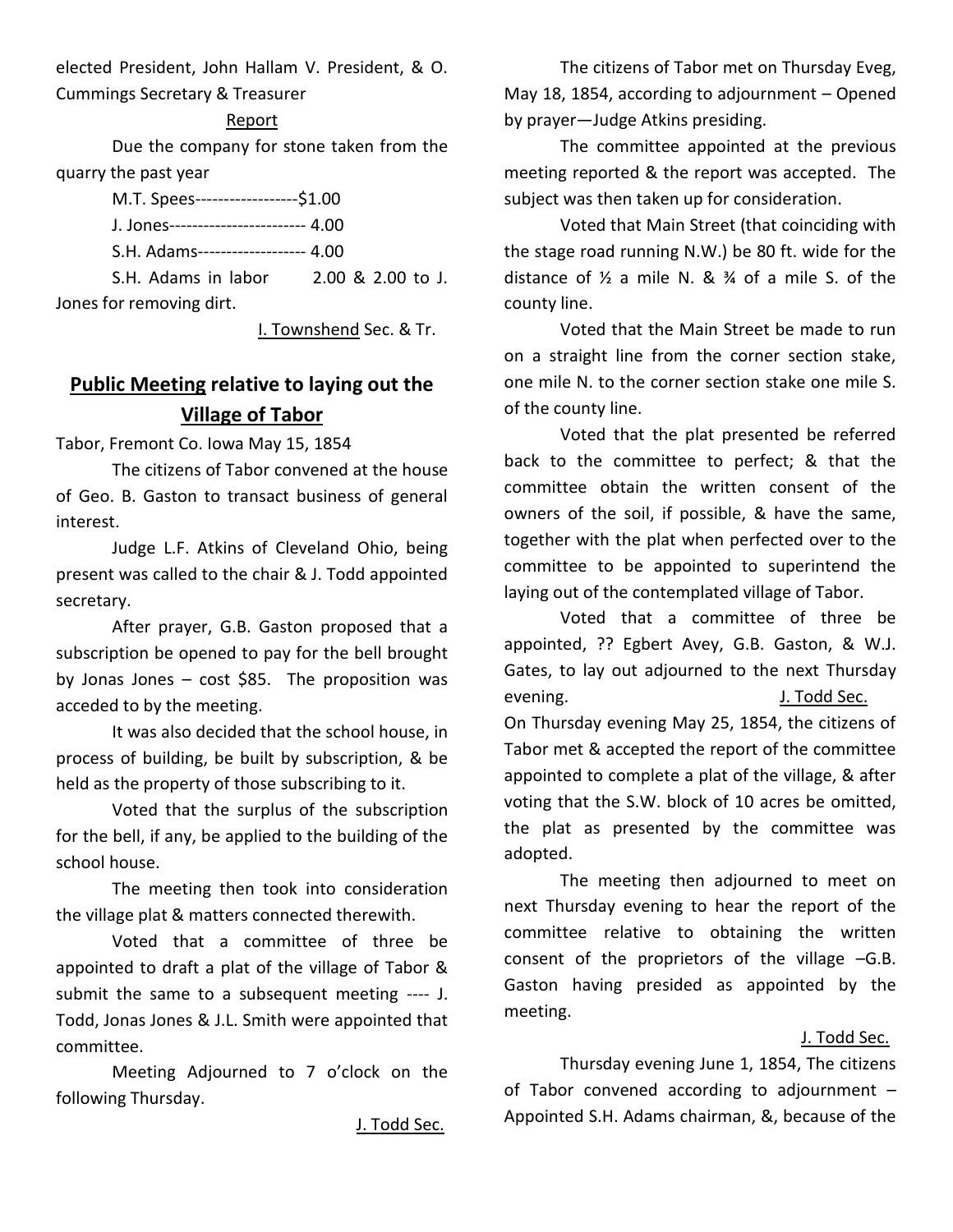elected President, John Hallam V. President, & O. Cummings Secretary & Treasurer

#### Report

Due the company for stone taken from the quarry the past year

| M.T. Spees------------------\$1.00 |  |
|------------------------------------|--|
|                                    |  |
| S.H. Adams------------------ 4.00  |  |

S.H. Adams in labor 2.00 & 2.00 to J. Jones for removing dirt.

I. Townshend Sec. & Tr.

## **Public Meeting relative to laying out the Village of Tabor**

Tabor, Fremont Co. Iowa May 15, 1854

The citizens of Tabor convened at the house of Geo. B. Gaston to transact business of general interest.

Judge L.F. Atkins of Cleveland Ohio, being present was called to the chair & J. Todd appointed secretary.

After prayer, G.B. Gaston proposed that a subscription be opened to pay for the bell brought by Jonas Jones – cost \$85. The proposition was acceded to by the meeting.

It was also decided that the school house, in process of building, be built by subscription, & be held as the property of those subscribing to it.

Voted that the surplus of the subscription for the bell, if any, be applied to the building of the school house.

The meeting then took into consideration the village plat & matters connected therewith.

Voted that a committee of three be appointed to draft a plat of the village of Tabor & submit the same to a subsequent meeting ---- J. Todd, Jonas Jones & J.L. Smith were appointed that committee.

Meeting Adjourned to 7 o'clock on the following Thursday.

J. Todd Sec.

The citizens of Tabor met on Thursday Eveg, May 18, 1854, according to adjournment – Opened by prayer—Judge Atkins presiding.

The committee appointed at the previous meeting reported & the report was accepted. The subject was then taken up for consideration.

Voted that Main Street (that coinciding with the stage road running N.W.) be 80 ft. wide for the distance of  $\frac{1}{2}$  a mile N. &  $\frac{3}{4}$  of a mile S. of the county line.

Voted that the Main Street be made to run on a straight line from the corner section stake, one mile N. to the corner section stake one mile S. of the county line.

Voted that the plat presented be referred back to the committee to perfect; & that the committee obtain the written consent of the owners of the soil, if possible, & have the same, together with the plat when perfected over to the committee to be appointed to superintend the laying out of the contemplated village of Tabor.

Voted that a committee of three be appointed, ?? Egbert Avey, G.B. Gaston, & W.J. Gates, to lay out adjourned to the next Thursday evening. J. Todd Sec. On Thursday evening May 25, 1854, the citizens of Tabor met & accepted the report of the committee appointed to complete a plat of the village, & after voting that the S.W. block of 10 acres be omitted, the plat as presented by the committee was adopted.

The meeting then adjourned to meet on next Thursday evening to hear the report of the committee relative to obtaining the written consent of the proprietors of the village –G.B. Gaston having presided as appointed by the meeting.

#### J. Todd Sec.

Thursday evening June 1, 1854, The citizens of Tabor convened according to adjournment – Appointed S.H. Adams chairman, &, because of the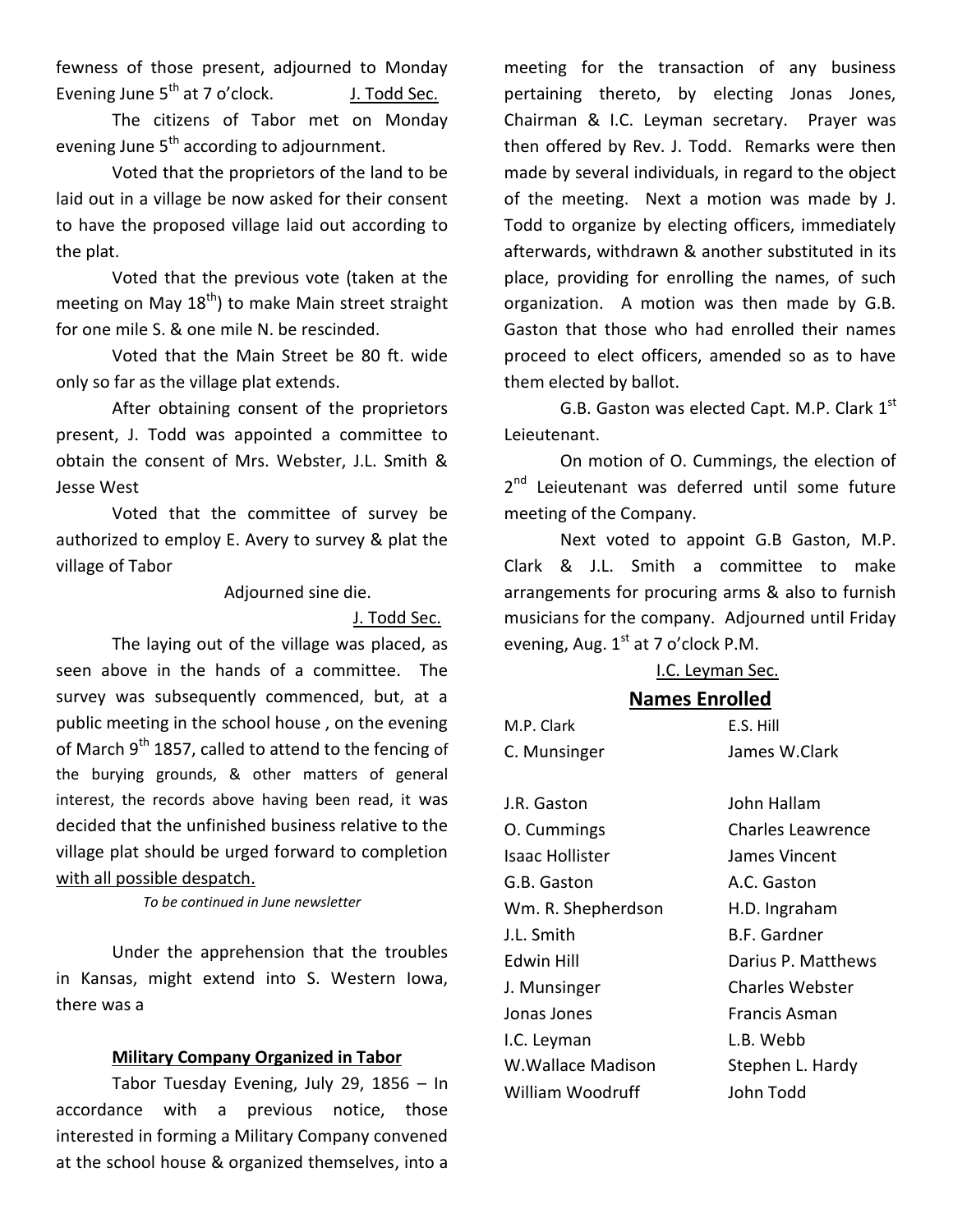fewness of those present, adjourned to Monday Evening June  $5^{th}$  at 7 o'clock. J. Todd Sec.

The citizens of Tabor met on Monday evening June  $5<sup>th</sup>$  according to adjournment.

Voted that the proprietors of the land to be laid out in a village be now asked for their consent to have the proposed village laid out according to the plat.

Voted that the previous vote (taken at the meeting on May  $18<sup>th</sup>$ ) to make Main street straight for one mile S. & one mile N. be rescinded.

Voted that the Main Street be 80 ft. wide only so far as the village plat extends.

After obtaining consent of the proprietors present, J. Todd was appointed a committee to obtain the consent of Mrs. Webster, J.L. Smith & Jesse West

Voted that the committee of survey be authorized to employ E. Avery to survey & plat the village of Tabor

Adjourned sine die.

J. Todd Sec.

The laying out of the village was placed, as seen above in the hands of a committee. The survey was subsequently commenced, but, at a public meeting in the school house , on the evening of March  $9<sup>th</sup>$  1857, called to attend to the fencing of the burying grounds, & other matters of general interest, the records above having been read, it was decided that the unfinished business relative to the village plat should be urged forward to completion with all possible despatch.

*To be continued in June newsletter*

Under the apprehension that the troubles in Kansas, might extend into S. Western Iowa, there was a

#### **Military Company Organized in Tabor**

Tabor Tuesday Evening, July 29, 1856 – In accordance with a previous notice, those interested in forming a Military Company convened at the school house & organized themselves, into a

meeting for the transaction of any business pertaining thereto, by electing Jonas Jones, Chairman & I.C. Leyman secretary. Prayer was then offered by Rev. J. Todd. Remarks were then made by several individuals, in regard to the object of the meeting. Next a motion was made by J. Todd to organize by electing officers, immediately afterwards, withdrawn & another substituted in its place, providing for enrolling the names, of such organization. A motion was then made by G.B. Gaston that those who had enrolled their names proceed to elect officers, amended so as to have them elected by ballot.

G.B. Gaston was elected Capt. M.P. Clark 1<sup>st</sup> Leieutenant.

On motion of O. Cummings, the election of 2<sup>nd</sup> Leieutenant was deferred until some future meeting of the Company.

Next voted to appoint G.B Gaston, M.P. Clark & J.L. Smith a committee to make arrangements for procuring arms & also to furnish musicians for the company. Adjourned until Friday evening, Aug.  $1<sup>st</sup>$  at 7 o'clock P.M.

#### I.C. Leyman Sec.

#### **Names Enrolled**

| M.P. Clark             | E.S. Hill                |
|------------------------|--------------------------|
| C. Munsinger           | James W.Clark            |
|                        |                          |
| J.R. Gaston            | John Hallam              |
| O. Cummings            | <b>Charles Leawrence</b> |
| <b>Isaac Hollister</b> | James Vincent            |
| G.B. Gaston            | A.C. Gaston              |
| Wm. R. Shepherdson     | H.D. Ingraham            |
| J.L. Smith             | <b>B.F. Gardner</b>      |
| Fdwin Hill             | Darius P. Matthews       |
| J. Munsinger           | <b>Charles Webster</b>   |
| Jonas Jones            | Francis Asman            |
| I.C. Leyman            | L.B. Webb                |
| W.Wallace Madison      | Stephen L. Hardy         |
| William Woodruff       | John Todd                |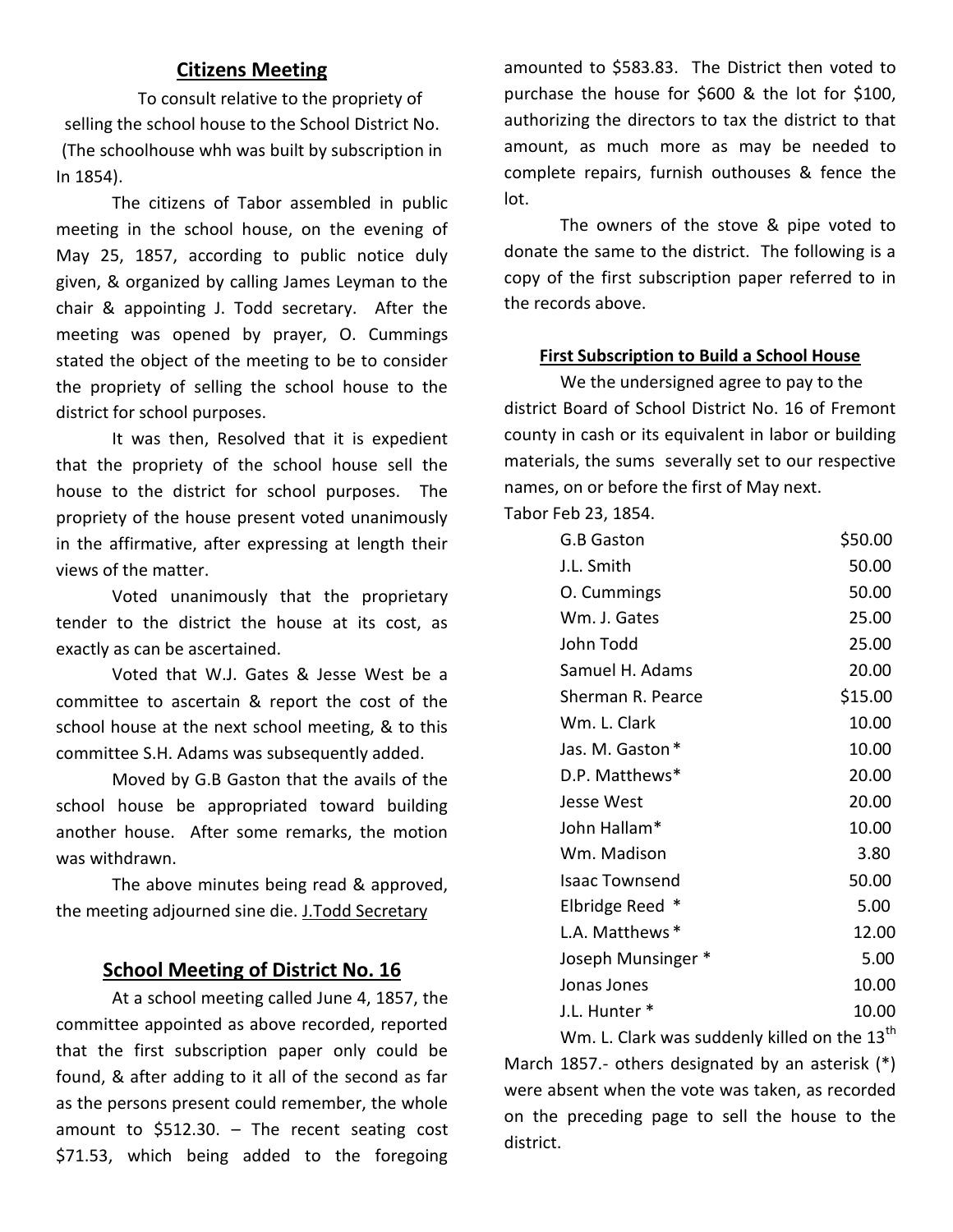#### **Citizens Meeting**

To consult relative to the propriety of selling the school house to the School District No. (The schoolhouse whh was built by subscription in In 1854).

The citizens of Tabor assembled in public meeting in the school house, on the evening of May 25, 1857, according to public notice duly given, & organized by calling James Leyman to the chair & appointing J. Todd secretary. After the meeting was opened by prayer, O. Cummings stated the object of the meeting to be to consider the propriety of selling the school house to the district for school purposes.

It was then, Resolved that it is expedient that the propriety of the school house sell the house to the district for school purposes. The propriety of the house present voted unanimously in the affirmative, after expressing at length their views of the matter.

Voted unanimously that the proprietary tender to the district the house at its cost, as exactly as can be ascertained.

Voted that W.J. Gates & Jesse West be a committee to ascertain & report the cost of the school house at the next school meeting, & to this committee S.H. Adams was subsequently added.

Moved by G.B Gaston that the avails of the school house be appropriated toward building another house. After some remarks, the motion was withdrawn.

The above minutes being read & approved, the meeting adjourned sine die. J.Todd Secretary

#### **School Meeting of District No. 16**

At a school meeting called June 4, 1857, the committee appointed as above recorded, reported that the first subscription paper only could be found, & after adding to it all of the second as far as the persons present could remember, the whole amount to  $$512.30. - The recent seating cost$ \$71.53, which being added to the foregoing

amounted to \$583.83. The District then voted to purchase the house for \$600 & the lot for \$100, authorizing the directors to tax the district to that amount, as much more as may be needed to complete repairs, furnish outhouses & fence the lot.

The owners of the stove & pipe voted to donate the same to the district. The following is a copy of the first subscription paper referred to in the records above.

#### **First Subscription to Build a School House**

We the undersigned agree to pay to the district Board of School District No. 16 of Fremont county in cash or its equivalent in labor or building materials, the sums severally set to our respective names, on or before the first of May next. Tabor Feb 23, 1854.

| G.B Gaston            | \$50.00 |
|-----------------------|---------|
| J.L. Smith            | 50.00   |
| O. Cummings           | 50.00   |
| Wm. J. Gates          | 25.00   |
| John Todd             | 25.00   |
| Samuel H. Adams       | 20.00   |
| Sherman R. Pearce     | \$15.00 |
| Wm. L. Clark          | 10.00   |
| Jas. M. Gaston *      | 10.00   |
| D.P. Matthews*        | 20.00   |
| Jesse West            | 20.00   |
| John Hallam*          | 10.00   |
| Wm. Madison           | 3.80    |
| <b>Isaac Townsend</b> | 50.00   |
| Elbridge Reed *       | 5.00    |
| L.A. Matthews *       | 12.00   |
| Joseph Munsinger *    | 5.00    |
| Jonas Jones           | 10.00   |
| J.L. Hunter *         | 10.00   |

Wm. L. Clark was suddenly killed on the  $13<sup>th</sup>$ March 1857.- others designated by an asterisk (\*) were absent when the vote was taken, as recorded on the preceding page to sell the house to the district.